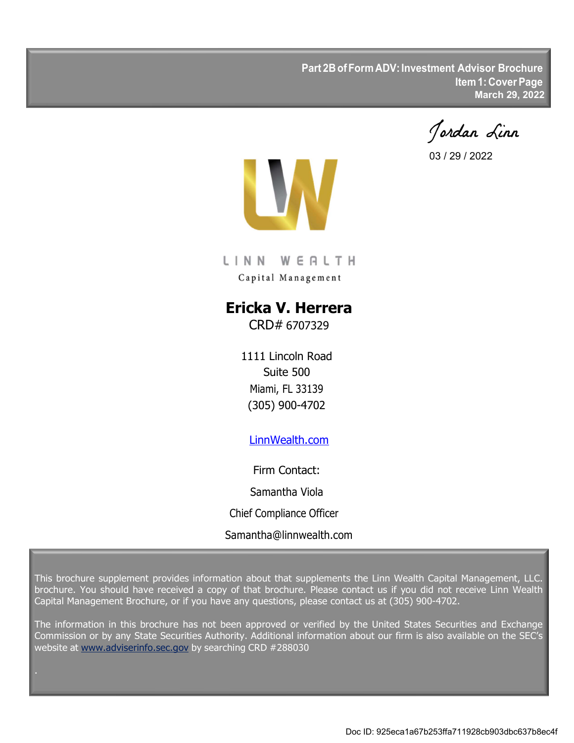**Part 2B of Form ADV: Investment Advisor Brochure Item 1: Cover Page March 29, 2022**

Jordan Linn

03 / 29 / 2022



LINN WERLTH Capital Management

# **Ericka V. Herrera**

CRD# 6707329

1111 Lincoln Road Suite 500 Miami, FL 33139 (305) 900-4702

## LinnWealth.com

Firm Contact: Samantha Viola Chief Compliance Officer Samantha@linnwealth.com

This brochure supplement provides information about that supplements the Linn Wealth Capital Management, LLC. brochure. You should have received a copy of that brochure. Please contact us if you did not receive Linn Wealth Capital Management Brochure, or if you have any questions, please contact us at (305) 900-4702.

The information in this brochure has not been approved or verified by the United States Securities and Exchange Commission or by any State Securities Authority. Additional information about our firm is also available on the SEC's website at www.adviserinfo.sec.gov by searching CRD #288030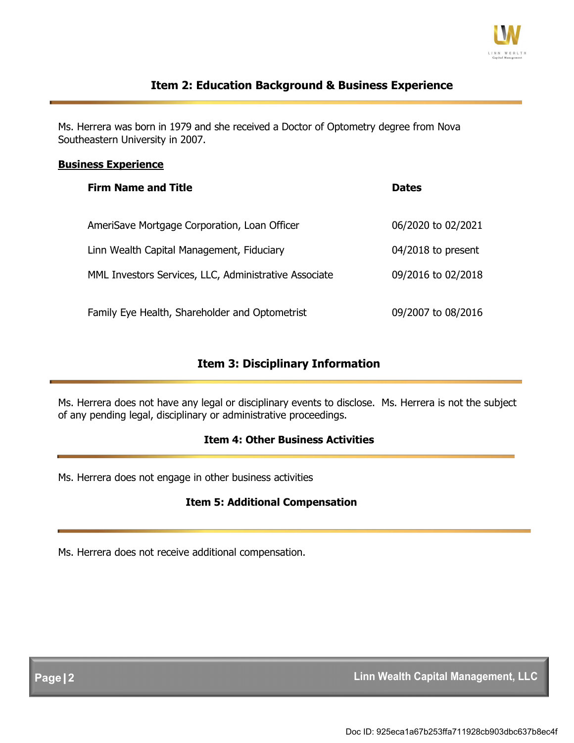

## **Item 2: Education Background & Business Experience**

 Ms. Herrera was born in 1979 and she received a Doctor of Optometry degree from Nova Southeastern University in 2007.

#### **Business Experience**

| <b>Firm Name and Title</b>                            | <b>Dates</b>       |
|-------------------------------------------------------|--------------------|
| AmeriSave Mortgage Corporation, Loan Officer          | 06/2020 to 02/2021 |
| Linn Wealth Capital Management, Fiduciary             | 04/2018 to present |
| MML Investors Services, LLC, Administrative Associate | 09/2016 to 02/2018 |
| Family Eye Health, Shareholder and Optometrist        | 09/2007 to 08/2016 |

## **Item 3: Disciplinary Information**

Ms. Herrera does not have any legal or disciplinary events to disclose. Ms. Herrera is not the subject of any pending legal, disciplinary or administrative proceedings.

### **Item 4: Other Business Activities**

Ms. Herrera does not engage in other business activities

#### **Item 5: Additional Compensation**

Ms. Herrera does not receive additional compensation.

**Page|2 Linn Wealth Capital Management, LLC**